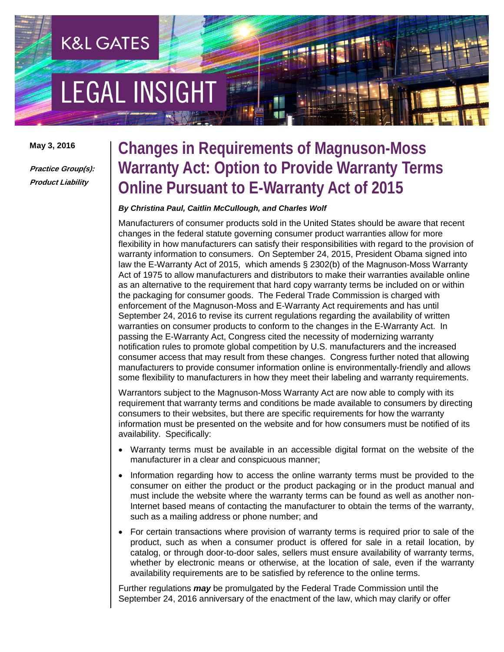# **EGAL INSIGHT**

**K&L GATES** 

**May 3, 2016**

**Practice Group(s): Product Liability**

### **Changes in Requirements of Magnuson-Moss Warranty Act: Option to Provide Warranty Terms Online Pursuant to E-Warranty Act of 2015**

#### *By Christina Paul, Caitlin McCullough, and Charles Wolf*

Manufacturers of consumer products sold in the United States should be aware that recent changes in the federal statute governing consumer product warranties allow for more flexibility in how manufacturers can satisfy their responsibilities with regard to the provision of warranty information to consumers. On September 24, 2015, President Obama signed into law the E-Warranty Act of 2015, which amends § 2302(b) of the Magnuson-Moss Warranty Act of 1975 to allow manufacturers and distributors to make their warranties available online as an alternative to the requirement that hard copy warranty terms be included on or within the packaging for consumer goods. The Federal Trade Commission is charged with enforcement of the Magnuson-Moss and E-Warranty Act requirements and has until September 24, 2016 to revise its current regulations regarding the availability of written warranties on consumer products to conform to the changes in the E-Warranty Act. In passing the E-Warranty Act, Congress cited the necessity of modernizing warranty notification rules to promote global competition by U.S. manufacturers and the increased consumer access that may result from these changes. Congress further noted that allowing manufacturers to provide consumer information online is environmentally-friendly and allows some flexibility to manufacturers in how they meet their labeling and warranty requirements.

Warrantors subject to the Magnuson-Moss Warranty Act are now able to comply with its requirement that warranty terms and conditions be made available to consumers by directing consumers to their websites, but there are specific requirements for how the warranty information must be presented on the website and for how consumers must be notified of its availability. Specifically:

- Warranty terms must be available in an accessible digital format on the website of the manufacturer in a clear and conspicuous manner;
- Information regarding how to access the online warranty terms must be provided to the consumer on either the product or the product packaging or in the product manual and must include the website where the warranty terms can be found as well as another non-Internet based means of contacting the manufacturer to obtain the terms of the warranty, such as a mailing address or phone number; and
- For certain transactions where provision of warranty terms is required prior to sale of the product, such as when a consumer product is offered for sale in a retail location, by catalog, or through door-to-door sales, sellers must ensure availability of warranty terms, whether by electronic means or otherwise, at the location of sale, even if the warranty availability requirements are to be satisfied by reference to the online terms.

Further regulations *may* be promulgated by the Federal Trade Commission until the September 24, 2016 anniversary of the enactment of the law, which may clarify or offer